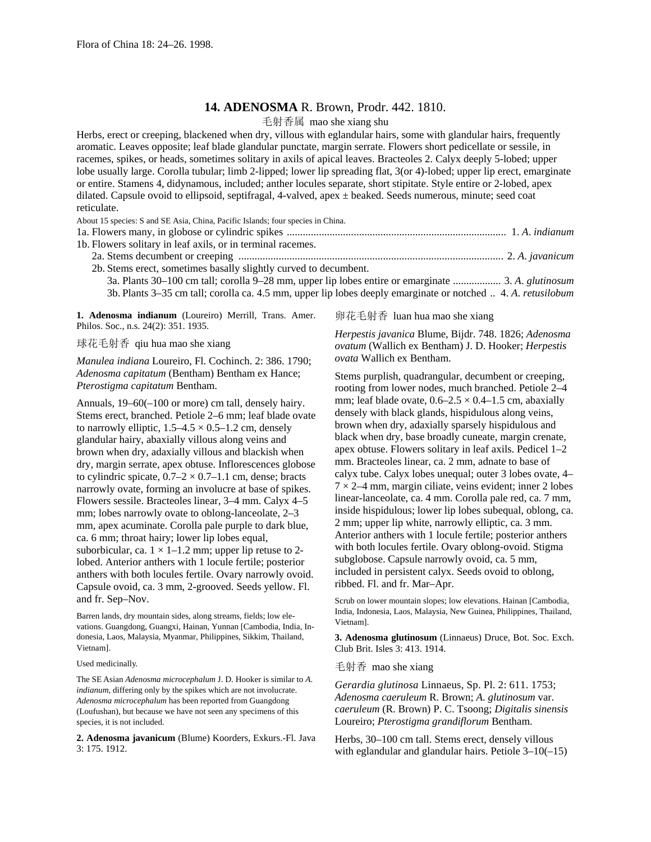## **14. ADENOSMA** R. Brown, Prodr. 442. 1810.

毛射香属 mao she xiang shu

Herbs, erect or creeping, blackened when dry, villous with eglandular hairs, some with glandular hairs, frequently aromatic. Leaves opposite; leaf blade glandular punctate, margin serrate. Flowers short pedicellate or sessile, in racemes, spikes, or heads, sometimes solitary in axils of apical leaves. Bracteoles 2. Calyx deeply 5-lobed; upper lobe usually large. Corolla tubular; limb 2-lipped; lower lip spreading flat, 3(or 4)-lobed; upper lip erect, emarginate or entire. Stamens 4, didynamous, included; anther locules separate, short stipitate. Style entire or 2-lobed, apex dilated. Capsule ovoid to ellipsoid, septifragal, 4-valved, apex ± beaked. Seeds numerous, minute; seed coat reticulate.

| About 15 species: S and SE Asia, China, Pacific Islands; four species in China.       |                       |
|---------------------------------------------------------------------------------------|-----------------------|
|                                                                                       |                       |
| 1b. Flowers solitary in leaf axils, or in terminal racemes.                           |                       |
|                                                                                       |                       |
| 2b. Stems erect, sometimes basally slightly curved to decumbent.                      |                       |
| $3a$ Plants $30-100$ cm tall: corolla $9-28$ mm, upper lip lobes entire or emarginate | 3 A <i>olutinosum</i> |

3a. Plants 30–100 cm tall; corolla 9–28 mm, upper lip lobes entire or emarginate .................. 3. *A*. *glutinosum* 3b. Plants 3–35 cm tall; corolla ca. 4.5 mm, upper lip lobes deeply emarginate or notched .. 4. *A*. *retusilobum*

**1. Adenosma indianum** (Loureiro) Merrill, Trans. Amer. Philos. Soc., n.s. 24(2): 351. 1935.

球花毛射香 qiu hua mao she xiang

*Manulea indiana* Loureiro, Fl. Cochinch. 2: 386. 1790; *Adenosma capitatum* (Bentham) Bentham ex Hance; *Pterostigma capitatum* Bentham.

Annuals, 19–60(–100 or more) cm tall, densely hairy. Stems erect, branched. Petiole 2–6 mm; leaf blade ovate to narrowly elliptic,  $1.5-4.5 \times 0.5-1.2$  cm, densely glandular hairy, abaxially villous along veins and brown when dry, adaxially villous and blackish when dry, margin serrate, apex obtuse. Inflorescences globose to cylindric spicate,  $0.7-2 \times 0.7-1.1$  cm, dense; bracts narrowly ovate, forming an involucre at base of spikes. Flowers sessile. Bracteoles linear, 3–4 mm. Calyx 4–5 mm; lobes narrowly ovate to oblong-lanceolate, 2–3 mm, apex acuminate. Corolla pale purple to dark blue, ca. 6 mm; throat hairy; lower lip lobes equal, suborbicular, ca.  $1 \times 1$ –1.2 mm; upper lip retuse to 2lobed. Anterior anthers with 1 locule fertile; posterior anthers with both locules fertile. Ovary narrowly ovoid. Capsule ovoid, ca. 3 mm, 2-grooved. Seeds yellow. Fl. and fr. Sep–Nov.

Barren lands, dry mountain sides, along streams, fields; low elevations. Guangdong, Guangxi, Hainan, Yunnan [Cambodia, India, Indonesia, Laos, Malaysia, Myanmar, Philippines, Sikkim, Thailand, Vietnam].

Used medicinally.

The SE Asian *Adenosma microcephalum* J. D. Hooker is similar to *A*. *indianum*, differing only by the spikes which are not involucrate. *Adenosma microcephalum* has been reported from Guangdong (Loufushan), but because we have not seen any specimens of this species, it is not included.

**2. Adenosma javanicum** (Blume) Koorders, Exkurs.-Fl. Java 3: 175. 1912.

卵花毛射香 luan hua mao she xiang

*Herpestis javanica* Blume, Bijdr. 748. 1826; *Adenosma ovatum* (Wallich ex Bentham) J. D. Hooker; *Herpestis ovata* Wallich ex Bentham.

Stems purplish, quadrangular, decumbent or creeping, rooting from lower nodes, much branched. Petiole 2–4 mm; leaf blade ovate,  $0.6-2.5 \times 0.4-1.5$  cm, abaxially densely with black glands, hispidulous along veins, brown when dry, adaxially sparsely hispidulous and black when dry, base broadly cuneate, margin crenate, apex obtuse. Flowers solitary in leaf axils. Pedicel 1–2 mm. Bracteoles linear, ca. 2 mm, adnate to base of calyx tube. Calyx lobes unequal; outer 3 lobes ovate, 4–  $7 \times 2 - 4$  mm, margin ciliate, veins evident; inner 2 lobes linear-lanceolate, ca. 4 mm. Corolla pale red, ca. 7 mm, inside hispidulous; lower lip lobes subequal, oblong, ca. 2 mm; upper lip white, narrowly elliptic, ca. 3 mm. Anterior anthers with 1 locule fertile; posterior anthers with both locules fertile. Ovary oblong-ovoid. Stigma subglobose. Capsule narrowly ovoid, ca. 5 mm, included in persistent calyx. Seeds ovoid to oblong, ribbed. Fl. and fr. Mar–Apr.

Scrub on lower mountain slopes; low elevations. Hainan [Cambodia, India, Indonesia, Laos, Malaysia, New Guinea, Philippines, Thailand, Vietnam].

**3. Adenosma glutinosum** (Linnaeus) Druce, Bot. Soc. Exch. Club Brit. Isles 3: 413. 1914.

毛射香 mao she xiang

*Gerardia glutinosa* Linnaeus, Sp. Pl. 2: 611. 1753; *Adenosma caeruleum* R. Brown; *A*. *glutinosum* var. *caeruleum* (R. Brown) P. C. Tsoong; *Digitalis sinensis* Loureiro; *Pterostigma grandiflorum* Bentham.

Herbs, 30–100 cm tall. Stems erect, densely villous with eglandular and glandular hairs. Petiole  $3-10(-15)$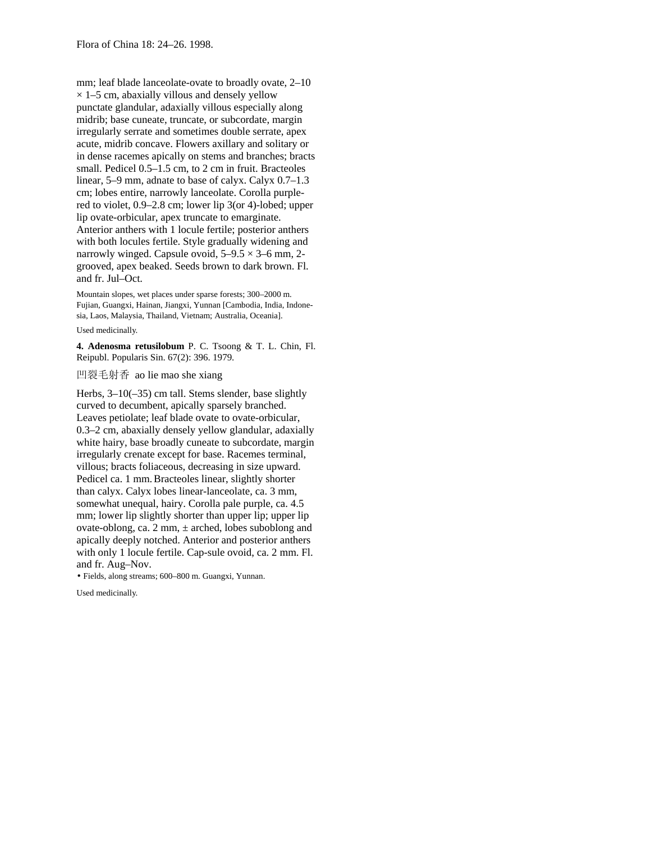mm; leaf blade lanceolate-ovate to broadly ovate, 2–10  $\times$  1–5 cm, abaxially villous and densely yellow punctate glandular, adaxially villous especially along midrib; base cuneate, truncate, or subcordate, margin irregularly serrate and sometimes double serrate, apex acute, midrib concave. Flowers axillary and solitary or in dense racemes apically on stems and branches; bracts small. Pedicel 0.5–1.5 cm, to 2 cm in fruit. Bracteoles linear, 5–9 mm, adnate to base of calyx. Calyx 0.7–1.3 cm; lobes entire, narrowly lanceolate. Corolla purplered to violet, 0.9–2.8 cm; lower lip 3(or 4)-lobed; upper lip ovate-orbicular, apex truncate to emarginate. Anterior anthers with 1 locule fertile; posterior anthers with both locules fertile. Style gradually widening and narrowly winged. Capsule ovoid,  $5-9.5 \times 3-6$  mm, 2grooved, apex beaked. Seeds brown to dark brown. Fl. and fr. Jul–Oct.

Mountain slopes, wet places under sparse forests; 300–2000 m. Fujian, Guangxi, Hainan, Jiangxi, Yunnan [Cambodia, India, Indonesia, Laos, Malaysia, Thailand, Vietnam; Australia, Oceania].

Used medicinally.

**4. Adenosma retusilobum** P. C. Tsoong & T. L. Chin, Fl. Reipubl. Popularis Sin. 67(2): 396. 1979.

凹裂毛射香 ao lie mao she xiang

Herbs, 3–10(–35) cm tall. Stems slender, base slightly curved to decumbent, apically sparsely branched. Leaves petiolate; leaf blade ovate to ovate-orbicular, 0.3–2 cm, abaxially densely yellow glandular, adaxially white hairy, base broadly cuneate to subcordate, margin irregularly crenate except for base. Racemes terminal, villous; bracts foliaceous, decreasing in size upward. Pedicel ca. 1 mm.Bracteoles linear, slightly shorter than calyx. Calyx lobes linear-lanceolate, ca. 3 mm, somewhat unequal, hairy. Corolla pale purple, ca. 4.5 mm; lower lip slightly shorter than upper lip; upper lip ovate-oblong, ca. 2 mm,  $\pm$  arched, lobes suboblong and apically deeply notched. Anterior and posterior anthers with only 1 locule fertile. Cap-sule ovoid, ca. 2 mm. Fl. and fr. Aug–Nov.

• Fields, along streams; 600–800 m. Guangxi, Yunnan.

Used medicinally.